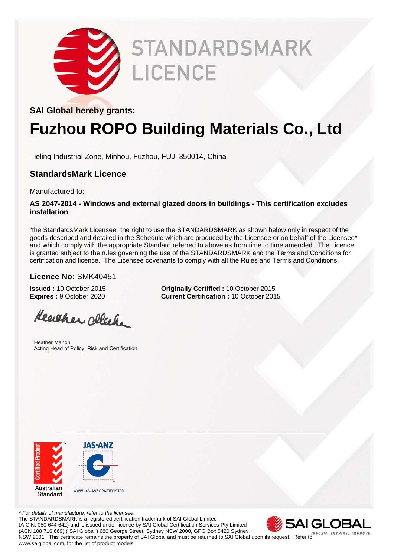

# **STANDARDSMARK LICENCE**

### **SAI Global hereby grants:**

## **Fuzhou ROPO Building Materials Co., Ltd**

Tieling Industrial Zone, Minhou, Fuzhou, FUJ, 350014, China

### **StandardsMark Licence**

Manufactured to:

#### **AS 2047-2014 - Windows and external glazed doors in buildings - This certification excludes installation**

"the StandardsMark Licensee" the right to use the STANDARDSMARK as shown below only in respect of the goods described and detailed in the Schedule which are produced by the Licensee or on behalf of the Licensee\* and which comply with the appropriate Standard referred to above as from time to time amended. The Licence is granted subject to the rules governing the use of the STANDARDSMARK and the Terms and Conditions for certification and licence. The Licensee covenants to comply with all the Rules and Terms and Conditions.

**Current Certification :** 10 October 2015

### **Licence No:** SMK40451

**Issued :** 10 October 2015 **Originally Certified :** 10 October 2015<br>**Expires :** 9 October 2020 **Current Certification :** 10 October 201

Heather click

Heather Mahon Acting Head of Policy, Risk and Certification



*\* For details of manufacture, refer to the licensee* The STANDARDSMARK is a registered certification trademark of SAI Global Limited (A.C.N. 050 644 642) and is issued under licence by SAI Global Certification Services Pty Limited (ACN 108 716 669) ("SAI Global") 680 George Street, Sydney NSW 2000, GPO Box 5420 Sydney NSW 2001. This certificate remains the property of SAI Global and must be returned to SAI Global upon its request. Refer to www.saiglobal.com, for the list of product models.

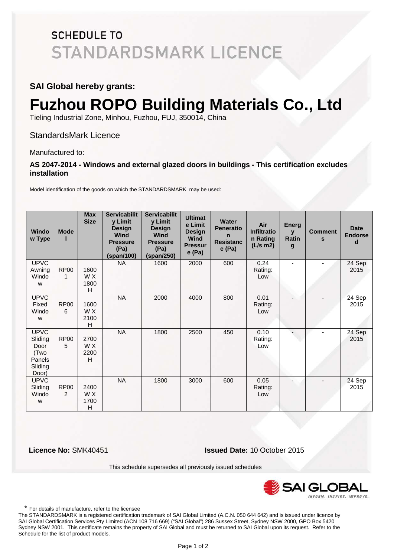### **SCHEDULE TO STANDARDSMARK LICENCE**

### **SAI Global hereby grants:**

# **Fuzhou ROPO Building Materials Co., Ltd**

Tieling Industrial Zone, Minhou, Fuzhou, FUJ, 350014, China

StandardsMark Licence

Manufactured to:

#### **AS 2047-2014 - Windows and external glazed doors in buildings - This certification excludes installation**

Model identification of the goods on which the STANDARDSMARK may be used:

| <b>Windo</b><br>w Type                                               | <b>Mode</b>      | <b>Max</b><br><b>Size</b> | <b>Servicabilit</b><br>y Limit<br><b>Design</b><br>Wind<br><b>Pressure</b><br>(Pa)<br>(span/100) | <b>Servicabilit</b><br>y Limit<br><b>Design</b><br>Wind<br><b>Pressure</b><br>(Pa)<br>(span/250) | <b>Ultimat</b><br>e Limit<br><b>Design</b><br><b>Wind</b><br><b>Pressur</b><br>e(Pa) | <b>Water</b><br><b>Peneratio</b><br>n<br><b>Resistanc</b><br>e(Pa) | Air<br><b>Infiltratio</b><br>n Rating<br>$(L/s \, m2)$ | <b>Energ</b><br>$\mathbf{v}$<br>Ratin<br>$\boldsymbol{g}$ | <b>Comment</b><br>S | <b>Date</b><br><b>Endorse</b><br>d |
|----------------------------------------------------------------------|------------------|---------------------------|--------------------------------------------------------------------------------------------------|--------------------------------------------------------------------------------------------------|--------------------------------------------------------------------------------------|--------------------------------------------------------------------|--------------------------------------------------------|-----------------------------------------------------------|---------------------|------------------------------------|
| <b>UPVC</b><br>Awning<br>Windo<br>W                                  | <b>RP00</b><br>1 | 1600<br>W X<br>1800<br>H  | <b>NA</b>                                                                                        | 1600                                                                                             | 2000                                                                                 | 600                                                                | 0.24<br>Rating:<br>Low                                 |                                                           |                     | 24 Sep<br>2015                     |
| <b>UPVC</b><br>Fixed<br>Windo<br>W                                   | <b>RP00</b><br>6 | 1600<br>W X<br>2100<br>H  | <b>NA</b>                                                                                        | 2000                                                                                             | 4000                                                                                 | 800                                                                | 0.01<br>Rating:<br>Low                                 | $\overline{\phantom{a}}$                                  |                     | 24 Sep<br>2015                     |
| <b>UPVC</b><br>Sliding<br>Door<br>(Two<br>Panels<br>Sliding<br>Door) | <b>RP00</b><br>5 | 2700<br>W X<br>2200<br>H  | <b>NA</b>                                                                                        | 1800                                                                                             | 2500                                                                                 | 450                                                                | 0.10<br>Rating:<br>Low                                 |                                                           |                     | 24 Sep<br>2015                     |
| <b>UPVC</b><br>Sliding<br>Windo<br>W                                 | <b>RP00</b><br>2 | 2400<br>W X<br>1700<br>H  | <b>NA</b>                                                                                        | 1800                                                                                             | 3000                                                                                 | 600                                                                | 0.05<br>Rating:<br>Low                                 |                                                           |                     | 24 Sep<br>2015                     |

 **Licence No:** SMK40451 **Issued Date:** 10 October 2015

This schedule supersedes all previously issued schedules



\* For details of manufacture, refer to the licensee

The STANDARDSMARK is a registered certification trademark of SAI Global Limited (A.C.N. 050 644 642) and is issued under licence by SAI Global Certification Services Pty Limited (ACN 108 716 669) ("SAI Global") 286 Sussex Street, Sydney NSW 2000, GPO Box 5420 Sydney NSW 2001. This certificate remains the property of SAI Global and must be returned to SAI Global upon its request. Refer to the Schedule for the list of product models. 3